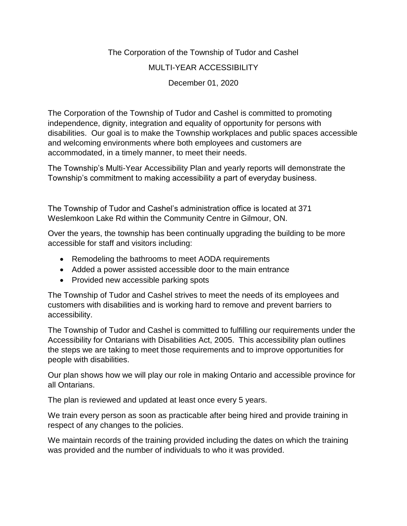# The Corporation of the Township of Tudor and Cashel MULTI-YEAR ACCESSIBILITY December 01, 2020

The Corporation of the Township of Tudor and Cashel is committed to promoting independence, dignity, integration and equality of opportunity for persons with disabilities. Our goal is to make the Township workplaces and public spaces accessible and welcoming environments where both employees and customers are accommodated, in a timely manner, to meet their needs.

The Township's Multi-Year Accessibility Plan and yearly reports will demonstrate the Township's commitment to making accessibility a part of everyday business.

The Township of Tudor and Cashel's administration office is located at 371 Weslemkoon Lake Rd within the Community Centre in Gilmour, ON.

Over the years, the township has been continually upgrading the building to be more accessible for staff and visitors including:

- Remodeling the bathrooms to meet AODA requirements
- Added a power assisted accessible door to the main entrance
- Provided new accessible parking spots

The Township of Tudor and Cashel strives to meet the needs of its employees and customers with disabilities and is working hard to remove and prevent barriers to accessibility.

The Township of Tudor and Cashel is committed to fulfilling our requirements under the Accessibility for Ontarians with Disabilities Act, 2005. This accessibility plan outlines the steps we are taking to meet those requirements and to improve opportunities for people with disabilities.

Our plan shows how we will play our role in making Ontario and accessible province for all Ontarians.

The plan is reviewed and updated at least once every 5 years.

We train every person as soon as practicable after being hired and provide training in respect of any changes to the policies.

We maintain records of the training provided including the dates on which the training was provided and the number of individuals to who it was provided.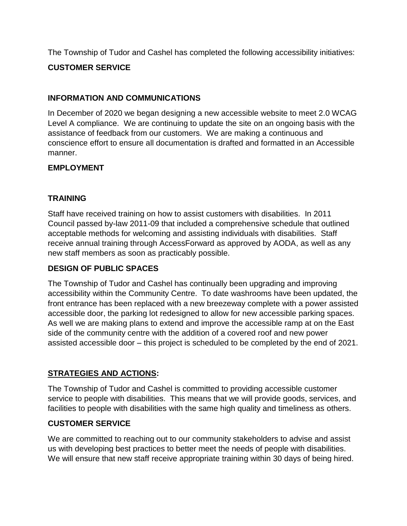The Township of Tudor and Cashel has completed the following accessibility initiatives:

### **CUSTOMER SERVICE**

#### **INFORMATION AND COMMUNICATIONS**

In December of 2020 we began designing a new accessible website to meet 2.0 WCAG Level A compliance. We are continuing to update the site on an ongoing basis with the assistance of feedback from our customers. We are making a continuous and conscience effort to ensure all documentation is drafted and formatted in an Accessible manner.

#### **EMPLOYMENT**

### **TRAINING**

Staff have received training on how to assist customers with disabilities. In 2011 Council passed by-law 2011-09 that included a comprehensive schedule that outlined acceptable methods for welcoming and assisting individuals with disabilities. Staff receive annual training through AccessForward as approved by AODA, as well as any new staff members as soon as practicably possible.

#### **DESIGN OF PUBLIC SPACES**

The Township of Tudor and Cashel has continually been upgrading and improving accessibility within the Community Centre. To date washrooms have been updated, the front entrance has been replaced with a new breezeway complete with a power assisted accessible door, the parking lot redesigned to allow for new accessible parking spaces. As well we are making plans to extend and improve the accessible ramp at on the East side of the community centre with the addition of a covered roof and new power assisted accessible door – this project is scheduled to be completed by the end of 2021.

#### **STRATEGIES AND ACTIONS:**

The Township of Tudor and Cashel is committed to providing accessible customer service to people with disabilities. This means that we will provide goods, services, and facilities to people with disabilities with the same high quality and timeliness as others.

#### **CUSTOMER SERVICE**

We are committed to reaching out to our community stakeholders to advise and assist us with developing best practices to better meet the needs of people with disabilities. We will ensure that new staff receive appropriate training within 30 days of being hired.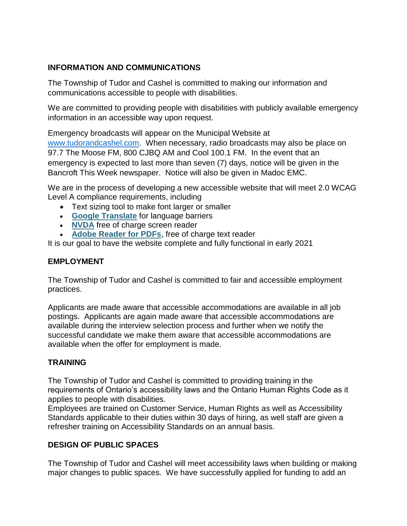#### **INFORMATION AND COMMUNICATIONS**

The Township of Tudor and Cashel is committed to making our information and communications accessible to people with disabilities.

We are committed to providing people with disabilities with publicly available emergency information in an accessible way upon request.

Emergency broadcasts will appear on the Municipal Website at

[www.tudorandcashel.com.](http://www.tudorandcashel.com/) When necessary, radio broadcasts may also be place on 97.7 The Moose FM, 800 CJBQ AM and Cool 100.1 FM. In the event that an emergency is expected to last more than seven (7) days, notice will be given in the Bancroft This Week newspaper. Notice will also be given in Madoc EMC.

We are in the process of developing a new accessible website that will meet 2.0 WCAG Level A compliance requirements, including

- Text sizing tool to make font larger or smaller
- **[Google Translate](https://translate.google.com/?sl=da)** for language barriers
- [NVDA](https://www.nvaccess.org/) free of charge screen reader
- **[Adobe Reader for PDFs](https://get.adobe.com/reader/)**, free of charge text reader

It is our goal to have the website complete and fully functional in early 2021

#### **EMPLOYMENT**

The Township of Tudor and Cashel is committed to fair and accessible employment practices.

Applicants are made aware that accessible accommodations are available in all job postings. Applicants are again made aware that accessible accommodations are available during the interview selection process and further when we notify the successful candidate we make them aware that accessible accommodations are available when the offer for employment is made.

#### **TRAINING**

The Township of Tudor and Cashel is committed to providing training in the requirements of Ontario's accessibility laws and the Ontario Human Rights Code as it applies to people with disabilities.

Employees are trained on Customer Service, Human Rights as well as Accessibility Standards applicable to their duties within 30 days of hiring, as well staff are given a refresher training on Accessibility Standards on an annual basis.

## **DESIGN OF PUBLIC SPACES**

The Township of Tudor and Cashel will meet accessibility laws when building or making major changes to public spaces. We have successfully applied for funding to add an